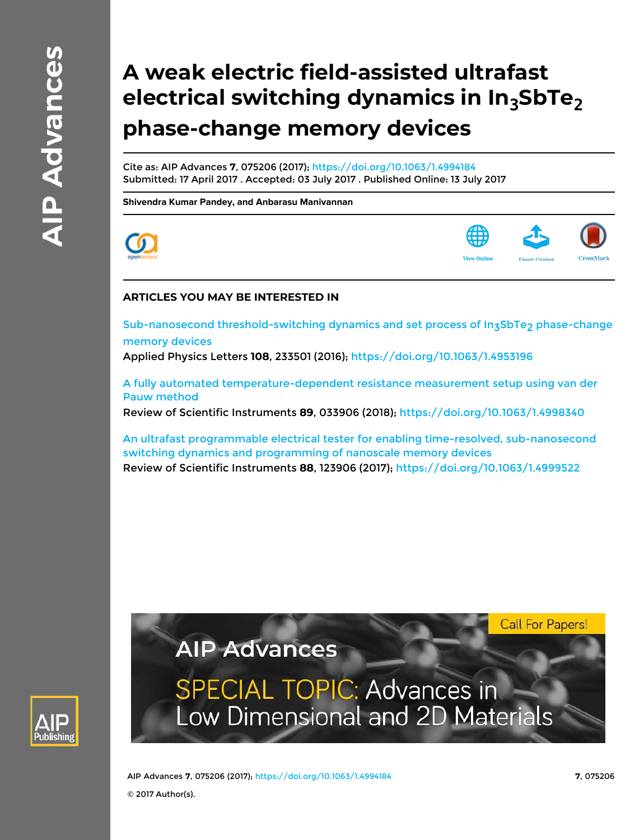# **A weak electric field-assisted ultrafast electrical switching dynamics in In3SbTe<sup>2</sup> phase-change memory devices**

Cite as: AIP Advances **7**, 075206 (2017); https://doi.org/10.1063/1.4994184 Submitted: 17 April 2017 . Accepted: 03 July 2017 . Published Online: 13 July 2017

**Shivendra Kumar Pandey, and Anbarasu Manivannan**





### **ARTICLES YOU MAY BE INTERESTED IN**

Sub-nanosecond threshold-switching dynamics and set process of In3SbTe2 phase-change memory devices

Applied Physics Letters **108**, 233501 (2016); https://doi.org/10.1063/1.4953196

A fully automated temperature-dependent resistance measurement setup using van der Pauw method

Review of Scientific Instruments **89**, 033906 (2018); https://doi.org/10.1063/1.4998340

An ultrafast programmable electrical tester for enabling time-resolved, sub-nanosecond switching dynamics and programming of nanoscale memory devices Review of Scientific Instruments **88**, 123906 (2017); https://doi.org/10.1063/1.4999522

**SPECIAL TOPIC: Advances in** 

Low Dimensional and 2D Materials

**AIP Advances** 



AIP Advances **7**, 075206 (2017); https://doi.org/10.1063/1.4994184 **7**, 075206

© 2017 Author(s).

**Call For Papers!**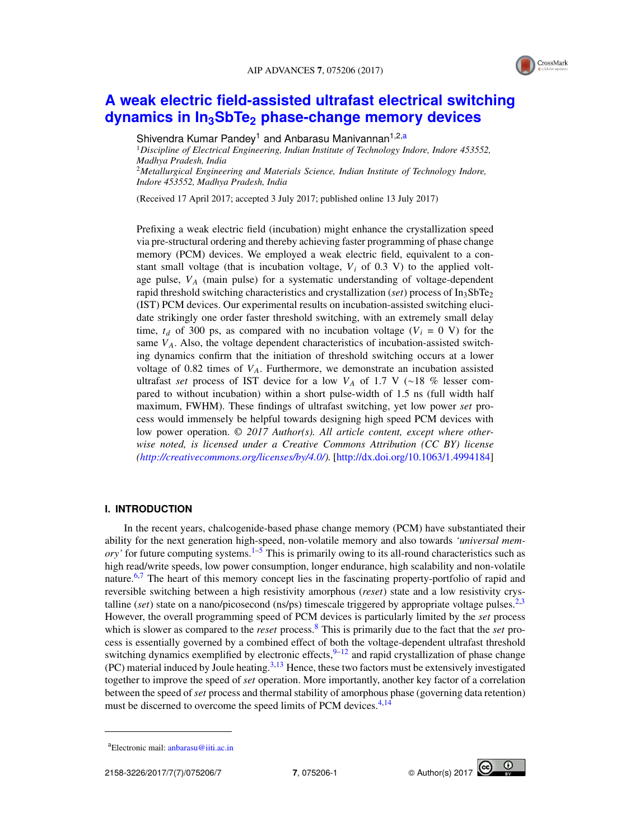

## **A weak electric field-assisted ultrafast electrical switching dynamics in In3SbTe<sup>2</sup> phase-change memory devices**

Shivendra Kumar Pandey<sup>1</sup> and Anbarasu Manivannan<sup>1,2,a</sup>

<sup>1</sup>*Discipline of Electrical Engineering, Indian Institute of Technology Indore, Indore 453552, Madhya Pradesh, India* <sup>2</sup>*Metallurgical Engineering and Materials Science, Indian Institute of Technology Indore,*

*Indore 453552, Madhya Pradesh, India*

(Received 17 April 2017; accepted 3 July 2017; published online 13 July 2017)

Prefixing a weak electric field (incubation) might enhance the crystallization speed via pre-structural ordering and thereby achieving faster programming of phase change memory (PCM) devices. We employed a weak electric field, equivalent to a constant small voltage (that is incubation voltage,  $V_i$  of 0.3 V) to the applied voltage pulse, *V<sup>A</sup>* (main pulse) for a systematic understanding of voltage-dependent rapid threshold switching characteristics and crystallization (*set*) process of In3SbTe<sup>2</sup> (IST) PCM devices. Our experimental results on incubation-assisted switching elucidate strikingly one order faster threshold switching, with an extremely small delay time,  $t_d$  of 300 ps, as compared with no incubation voltage ( $V_i = 0$  V) for the same *VA*. Also, the voltage dependent characteristics of incubation-assisted switching dynamics confirm that the initiation of threshold switching occurs at a lower voltage of 0.82 times of  $V_A$ . Furthermore, we demonstrate an incubation assisted ultrafast *set* process of IST device for a low *V<sup>A</sup>* of 1.7 V (∼18 % lesser compared to without incubation) within a short pulse-width of 1.5 ns (full width half maximum, FWHM). These findings of ultrafast switching, yet low power *set* process would immensely be helpful towards designing high speed PCM devices with low power operation. © *2017 Author(s). All article content, except where otherwise noted, is licensed under a Creative Commons Attribution (CC BY) license (http://creativecommons.org/licenses/by/4.0/).* [http://dx.doi.org/10.1063/1.4994184]

#### **I. INTRODUCTION**

In the recent years, chalcogenide-based phase change memory (PCM) have substantiated their ability for the next generation high-speed, non-volatile memory and also towards *'universal memory'* for future computing systems.1–5 This is primarily owing to its all-round characteristics such as high read/write speeds, low power consumption, longer endurance, high scalability and non-volatile nature.<sup>6,7</sup> The heart of this memory concept lies in the fascinating property-portfolio of rapid and reversible switching between a high resistivity amorphous (*reset*) state and a low resistivity crystalline (*set*) state on a nano/picosecond (ns/ps) timescale triggered by appropriate voltage pulses.<sup>2,3</sup> However, the overall programming speed of PCM devices is particularly limited by the *set* process which is slower as compared to the *reset* process.<sup>8</sup> This is primarily due to the fact that the *set* process is essentially governed by a combined effect of both the voltage-dependent ultrafast threshold switching dynamics exemplified by electronic effects,  $9-12$  and rapid crystallization of phase change  $(PC)$  material induced by Joule heating.<sup>3,13</sup> Hence, these two factors must be extensively investigated together to improve the speed of *set* operation. More importantly, another key factor of a correlation between the speed of *set* process and thermal stability of amorphous phase (governing data retention) must be discerned to overcome the speed limits of PCM devices.<sup>4,14</sup>

 $\odot$ 

aElectronic mail: anbarasu@iiti.ac.in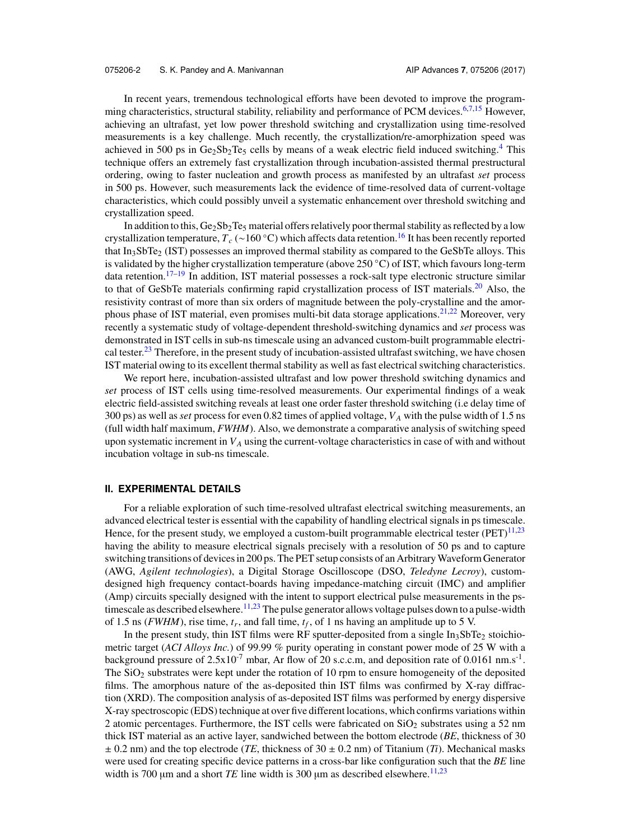In recent years, tremendous technological efforts have been devoted to improve the programming characteristics, structural stability, reliability and performance of PCM devices.<sup>6,7,15</sup> However, achieving an ultrafast, yet low power threshold switching and crystallization using time-resolved measurements is a key challenge. Much recently, the crystallization/re-amorphization speed was achieved in 500 ps in  $Ge_2Sb_2Te_5$  cells by means of a weak electric field induced switching.<sup>4</sup> This technique offers an extremely fast crystallization through incubation-assisted thermal prestructural ordering, owing to faster nucleation and growth process as manifested by an ultrafast *set* process in 500 ps. However, such measurements lack the evidence of time-resolved data of current-voltage characteristics, which could possibly unveil a systematic enhancement over threshold switching and crystallization speed.

In addition to this,  $Ge_2Sb_2Te_5$  material offers relatively poor thermal stability as reflected by a low crystallization temperature, *T<sup>c</sup>* (∼160 ◦C) which affects data retention.<sup>16</sup> It has been recently reported that  $In<sub>3</sub>SbTe<sub>2</sub>$  (IST) possesses an improved thermal stability as compared to the GeSbTe alloys. This is validated by the higher crystallization temperature (above 250 ◦C) of IST, which favours long-term data retention.<sup>17–19</sup> In addition, IST material possesses a rock-salt type electronic structure similar to that of GeSbTe materials confirming rapid crystallization process of IST materials.<sup>20</sup> Also, the resistivity contrast of more than six orders of magnitude between the poly-crystalline and the amorphous phase of IST material, even promises multi-bit data storage applications.<sup>21,22</sup> Moreover, very recently a systematic study of voltage-dependent threshold-switching dynamics and *set* process was demonstrated in IST cells in sub-ns timescale using an advanced custom-built programmable electrical tester.<sup>23</sup> Therefore, in the present study of incubation-assisted ultrafast switching, we have chosen IST material owing to its excellent thermal stability as well as fast electrical switching characteristics.

We report here, incubation-assisted ultrafast and low power threshold switching dynamics and *set* process of IST cells using time-resolved measurements. Our experimental findings of a weak electric field-assisted switching reveals at least one order faster threshold switching (i.e delay time of 300 ps) as well as*set* process for even 0.82 times of applied voltage, *V<sup>A</sup>* with the pulse width of 1.5 ns (full width half maximum, *FWHM*). Also, we demonstrate a comparative analysis of switching speed upon systematic increment in *V<sup>A</sup>* using the current-voltage characteristics in case of with and without incubation voltage in sub-ns timescale.

#### **II. EXPERIMENTAL DETAILS**

For a reliable exploration of such time-resolved ultrafast electrical switching measurements, an advanced electrical tester is essential with the capability of handling electrical signals in ps timescale. Hence, for the present study, we employed a custom-built programmable electrical tester  $(PET)^{11,23}$ having the ability to measure electrical signals precisely with a resolution of 50 ps and to capture switching transitions of devices in 200 ps. The PET setup consists of an ArbitraryWaveform Generator (AWG, *Agilent technologies*), a Digital Storage Oscilloscope (DSO, *Teledyne Lecroy*), customdesigned high frequency contact-boards having impedance-matching circuit (IMC) and amplifier (Amp) circuits specially designed with the intent to support electrical pulse measurements in the pstimescale as described elsewhere.<sup>11,23</sup> The pulse generator allows voltage pulses down to a pulse-width of 1.5 ns (*FWHM*), rise time,  $t_r$ , and fall time,  $t_f$ , of 1 ns having an amplitude up to 5 V.

In the present study, thin IST films were RF sputter-deposited from a single  $In<sub>3</sub>SbTe<sub>2</sub>$  stoichiometric target (*ACI Alloys Inc.*) of 99.99 % purity operating in constant power mode of 25 W with a background pressure of  $2.5x10^{-7}$  mbar, Ar flow of 20 s.c.c.m, and deposition rate of 0.0161 nm.s<sup>-1</sup>. The  $SiO<sub>2</sub>$  substrates were kept under the rotation of 10 rpm to ensure homogeneity of the deposited films. The amorphous nature of the as-deposited thin IST films was confirmed by X-ray diffraction (XRD). The composition analysis of as-deposited IST films was performed by energy dispersive X-ray spectroscopic (EDS) technique at over five different locations, which confirms variations within 2 atomic percentages. Furthermore, the IST cells were fabricated on  $SiO<sub>2</sub>$  substrates using a 52 nm thick IST material as an active layer, sandwiched between the bottom electrode (*BE*, thickness of 30  $\pm$  0.2 nm) and the top electrode (*TE*, thickness of 30  $\pm$  0.2 nm) of Titanium (*Ti*). Mechanical masks were used for creating specific device patterns in a cross-bar like configuration such that the *BE* line width is 700  $\mu$ m and a short *TE* line width is 300  $\mu$ m as described elsewhere.<sup>11,23</sup>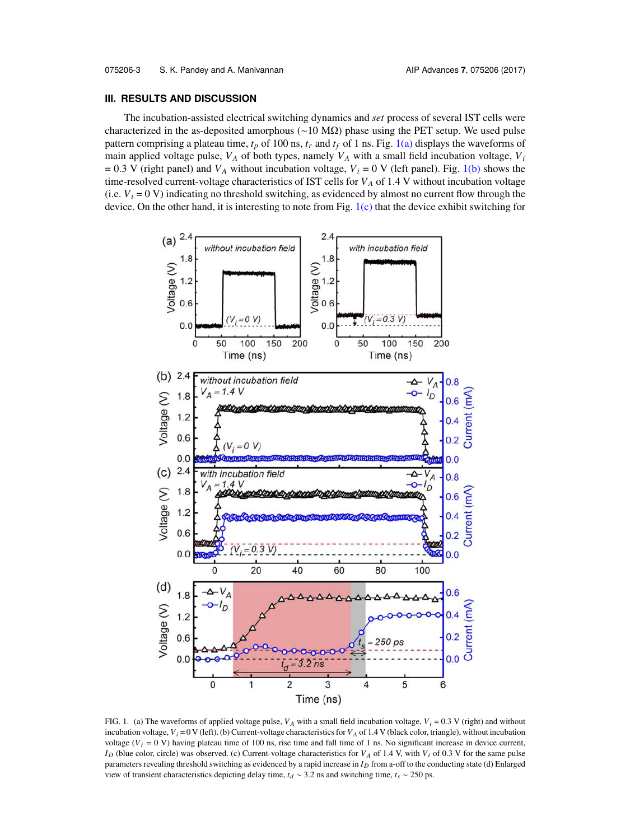#### **III. RESULTS AND DISCUSSION**

The incubation-assisted electrical switching dynamics and *set* process of several IST cells were characterized in the as-deposited amorphous (∼10 MΩ) phase using the PET setup. We used pulse pattern comprising a plateau time,  $t_p$  of 100 ns,  $t_r$  and  $t_f$  of 1 ns. Fig. 1(a) displays the waveforms of main applied voltage pulse, *V<sup>A</sup>* of both types, namely *V<sup>A</sup>* with a small field incubation voltage, *V<sup>i</sup>*  $= 0.3$  V (right panel) and  $V_A$  without incubation voltage,  $V_i = 0$  V (left panel). Fig. 1(b) shows the time-resolved current-voltage characteristics of IST cells for  $V_A$  of 1.4 V without incubation voltage (i.e.  $V_i = 0$  V) indicating no threshold switching, as evidenced by almost no current flow through the device. On the other hand, it is interesting to note from Fig. 1(c) that the device exhibit switching for



FIG. 1. (a) The waveforms of applied voltage pulse,  $V_A$  with a small field incubation voltage,  $V_i = 0.3$  V (right) and without incubation voltage,  $V_i = 0$  V (left). (b) Current-voltage characteristics for  $V_A$  of 1.4 V (black color, triangle), without incubation voltage ( $V_i$  = 0 V) having plateau time of 100 ns, rise time and fall time of 1 ns. No significant increase in device current, *I<sup>D</sup>* (blue color, circle) was observed. (c) Current-voltage characteristics for *V<sup>A</sup>* of 1.4 V, with *V<sup>i</sup>* of 0.3 V for the same pulse parameters revealing threshold switching as evidenced by a rapid increase in *I<sup>D</sup>* from a-off to the conducting state (d) Enlarged view of transient characteristics depicting delay time, *t<sup>d</sup>* ∼ 3.2 ns and switching time, *t<sup>s</sup>* ∼ 250 ps.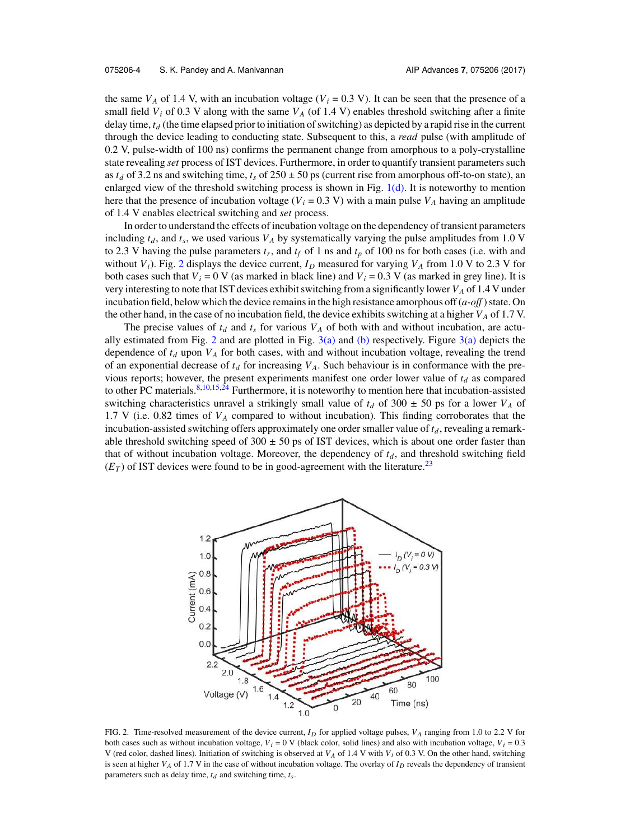the same  $V_A$  of 1.4 V, with an incubation voltage ( $V_i = 0.3$  V). It can be seen that the presence of a small field  $V_i$  of 0.3 V along with the same  $V_A$  (of 1.4 V) enables threshold switching after a finite delay time, *t<sup>d</sup>* (the time elapsed prior to initiation of switching) as depicted by a rapid rise in the current through the device leading to conducting state. Subsequent to this, a *read* pulse (with amplitude of 0.2 V, pulse-width of 100 ns) confirms the permanent change from amorphous to a poly-crystalline state revealing *set* process of IST devices. Furthermore, in order to quantify transient parameters such as  $t_d$  of 3.2 ns and switching time,  $t_s$  of 250  $\pm$  50 ps (current rise from amorphous off-to-on state), an enlarged view of the threshold switching process is shown in Fig.  $1(d)$ . It is noteworthy to mention here that the presence of incubation voltage ( $V_i$  = 0.3 V) with a main pulse  $V_A$  having an amplitude of 1.4 V enables electrical switching and *set* process.

In order to understand the effects of incubation voltage on the dependency of transient parameters including  $t_d$ , and  $t_s$ , we used various  $V_A$  by systematically varying the pulse amplitudes from 1.0 V to 2.3 V having the pulse parameters  $t_r$ , and  $t_f$  of 1 ns and  $t_p$  of 100 ns for both cases (i.e. with and without  $V_i$ ). Fig. 2 displays the device current,  $I_D$  measured for varying  $V_A$  from 1.0 V to 2.3 V for both cases such that  $V_i = 0$  V (as marked in black line) and  $V_i = 0.3$  V (as marked in grey line). It is very interesting to note that IST devices exhibit switching from a significantly lower *V<sup>A</sup>* of 1.4 V under incubation field, below which the device remains in the high resistance amorphous off (*a-off* ) state. On the other hand, in the case of no incubation field, the device exhibits switching at a higher *V<sup>A</sup>* of 1.7 V.

The precise values of  $t_d$  and  $t_s$  for various  $V_A$  of both with and without incubation, are actually estimated from Fig. 2 and are plotted in Fig.  $3(a)$  and (b) respectively. Figure  $3(a)$  depicts the dependence of  $t_d$  upon  $V_A$  for both cases, with and without incubation voltage, revealing the trend of an exponential decrease of  $t_d$  for increasing  $V_A$ . Such behaviour is in conformance with the previous reports; however, the present experiments manifest one order lower value of *t<sup>d</sup>* as compared to other PC materials.<sup>8,10,15,24</sup> Furthermore, it is noteworthy to mention here that incubation-assisted switching characteristics unravel a strikingly small value of  $t_d$  of 300  $\pm$  50 ps for a lower  $V_A$  of 1.7 V (i.e. 0.82 times of *V<sup>A</sup>* compared to without incubation). This finding corroborates that the incubation-assisted switching offers approximately one order smaller value of *t<sup>d</sup>* , revealing a remarkable threshold switching speed of  $300 \pm 50$  ps of IST devices, which is about one order faster than that of without incubation voltage. Moreover, the dependency of  $t_d$ , and threshold switching field  $(E_T)$  of IST devices were found to be in good-agreement with the literature.<sup>23</sup>



FIG. 2. Time-resolved measurement of the device current, *I<sup>D</sup>* for applied voltage pulses, *V<sup>A</sup>* ranging from 1.0 to 2.2 V for both cases such as without incubation voltage,  $V_i = 0$  V (black color, solid lines) and also with incubation voltage,  $V_i = 0.3$ V (red color, dashed lines). Initiation of switching is observed at *V<sup>A</sup>* of 1.4 V with *V<sup>i</sup>* of 0.3 V. On the other hand, switching is seen at higher *V<sup>A</sup>* of 1.7 V in the case of without incubation voltage. The overlay of *I<sup>D</sup>* reveals the dependency of transient parameters such as delay time,  $t_d$  and switching time,  $t_s$ .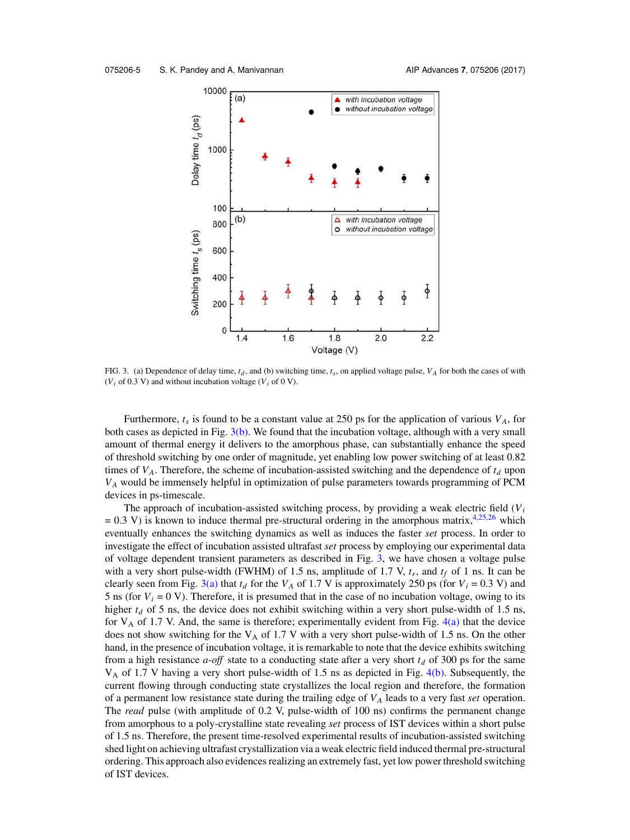

FIG. 3. (a) Dependence of delay time,  $t_d$ , and (b) switching time,  $t_s$ , on applied voltage pulse,  $V_A$  for both the cases of with ( $V_i$  of 0.3 V) and without incubation voltage ( $V_i$  of 0 V).

Furthermore,  $t_s$  is found to be a constant value at 250 ps for the application of various  $V_A$ , for both cases as depicted in Fig. 3(b). We found that the incubation voltage, although with a very small amount of thermal energy it delivers to the amorphous phase, can substantially enhance the speed of threshold switching by one order of magnitude, yet enabling low power switching of at least 0.82 times of *VA*. Therefore, the scheme of incubation-assisted switching and the dependence of *t<sup>d</sup>* upon *V<sup>A</sup>* would be immensely helpful in optimization of pulse parameters towards programming of PCM devices in ps-timescale.

The approach of incubation-assisted switching process, by providing a weak electric field  $(V<sub>i</sub>)$  $= 0.3$  V) is known to induce thermal pre-structural ordering in the amorphous matrix,<sup>4,25,26</sup> which eventually enhances the switching dynamics as well as induces the faster *set* process. In order to investigate the effect of incubation assisted ultrafast *set* process by employing our experimental data of voltage dependent transient parameters as described in Fig. 3, we have chosen a voltage pulse with a very short pulse-width (FWHM) of 1.5 ns, amplitude of 1.7 V, *t<sup>r</sup>* , and *t<sup>f</sup>* of 1 ns. It can be clearly seen from Fig. 3(a) that  $t_d$  for the  $V_A$  of 1.7 V is approximately 250 ps (for  $V_i = 0.3$  V) and 5 ns (for  $V_i = 0$  V). Therefore, it is presumed that in the case of no incubation voltage, owing to its higher  $t_d$  of 5 ns, the device does not exhibit switching within a very short pulse-width of 1.5 ns, for  $V_A$  of 1.7 V. And, the same is therefore; experimentally evident from Fig.  $4(a)$  that the device does not show switching for the  $V_A$  of 1.7 V with a very short pulse-width of 1.5 ns. On the other hand, in the presence of incubation voltage, it is remarkable to note that the device exhibits switching from a high resistance *a-off* state to a conducting state after a very short *t<sup>d</sup>* of 300 ps for the same V<sup>A</sup> of 1.7 V having a very short pulse-width of 1.5 ns as depicted in Fig. 4(b). Subsequently, the current flowing through conducting state crystallizes the local region and therefore, the formation of a permanent low resistance state during the trailing edge of *V<sup>A</sup>* leads to a very fast *set* operation. The *read* pulse (with amplitude of 0.2 V, pulse-width of 100 ns) confirms the permanent change from amorphous to a poly-crystalline state revealing *set* process of IST devices within a short pulse of 1.5 ns. Therefore, the present time-resolved experimental results of incubation-assisted switching shed light on achieving ultrafast crystallization via a weak electric field induced thermal pre-structural ordering. This approach also evidences realizing an extremely fast, yet low power threshold switching of IST devices.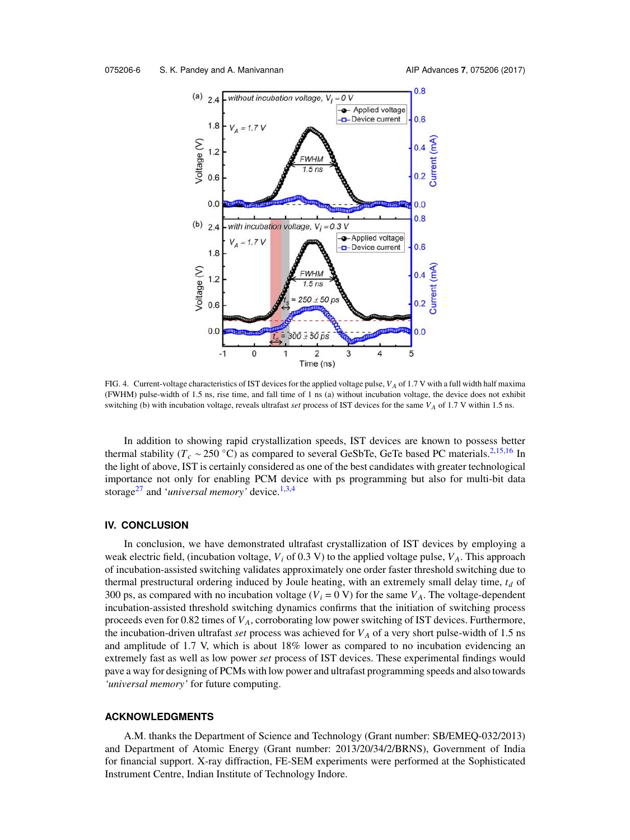

FIG. 4. Current-voltage characteristics of IST devices for the applied voltage pulse, *V<sup>A</sup>* of 1.7 V with a full width half maxima (FWHM) pulse-width of 1.5 ns, rise time, and fall time of 1 ns (a) without incubation voltage, the device does not exhibit switching (b) with incubation voltage, reveals ultrafast *set* process of IST devices for the same *V<sup>A</sup>* of 1.7 V within 1.5 ns.

In addition to showing rapid crystallization speeds, IST devices are known to possess better thermal stability ( $T_c \sim 250$  °C) as compared to several GeSbTe, GeTe based PC materials.<sup>2,15,16</sup> In the light of above, IST is certainly considered as one of the best candidates with greater technological importance not only for enabling PCM device with ps programming but also for multi-bit data storage<sup>27</sup> and '*universal memory'* device.1,3,4

#### **IV. CONCLUSION**

In conclusion, we have demonstrated ultrafast crystallization of IST devices by employing a weak electric field, (incubation voltage,  $V_i$  of 0.3 V) to the applied voltage pulse,  $V_A$ . This approach of incubation-assisted switching validates approximately one order faster threshold switching due to thermal prestructural ordering induced by Joule heating, with an extremely small delay time, *t<sup>d</sup>* of 300 ps, as compared with no incubation voltage ( $V_i = 0$  V) for the same  $V_A$ . The voltage-dependent incubation-assisted threshold switching dynamics confirms that the initiation of switching process proceeds even for 0.82 times of *VA*, corroborating low power switching of IST devices. Furthermore, the incubation-driven ultrafast *set* process was achieved for *V<sup>A</sup>* of a very short pulse-width of 1.5 ns and amplitude of 1.7 V, which is about 18% lower as compared to no incubation evidencing an extremely fast as well as low power *set* process of IST devices. These experimental findings would pave a way for designing of PCMs with low power and ultrafast programming speeds and also towards *'universal memory'* for future computing.

#### **ACKNOWLEDGMENTS**

A.M. thanks the Department of Science and Technology (Grant number: SB/EMEQ-032/2013) and Department of Atomic Energy (Grant number: 2013/20/34/2/BRNS), Government of India for financial support. X-ray diffraction, FE-SEM experiments were performed at the Sophisticated Instrument Centre, Indian Institute of Technology Indore.